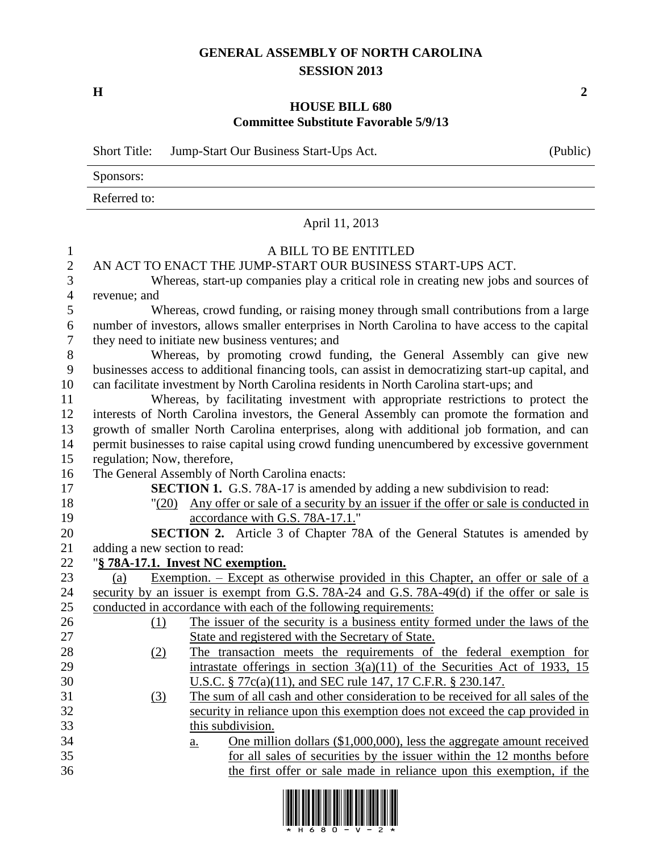## **GENERAL ASSEMBLY OF NORTH CAROLINA SESSION 2013**

**H 2**

## **HOUSE BILL 680 Committee Substitute Favorable 5/9/13**

|                | <b>Short Title:</b>                                                                        | Jump-Start Our Business Start-Ups Act.                                                                                                              | (Public) |  |  |  |  |
|----------------|--------------------------------------------------------------------------------------------|-----------------------------------------------------------------------------------------------------------------------------------------------------|----------|--|--|--|--|
|                | Sponsors:                                                                                  |                                                                                                                                                     |          |  |  |  |  |
|                | Referred to:                                                                               |                                                                                                                                                     |          |  |  |  |  |
|                |                                                                                            | April 11, 2013                                                                                                                                      |          |  |  |  |  |
| 1              |                                                                                            | A BILL TO BE ENTITLED                                                                                                                               |          |  |  |  |  |
| $\mathbf{2}$   |                                                                                            | AN ACT TO ENACT THE JUMP-START OUR BUSINESS START-UPS ACT.                                                                                          |          |  |  |  |  |
| 3              |                                                                                            | Whereas, start-up companies play a critical role in creating new jobs and sources of                                                                |          |  |  |  |  |
| $\overline{4}$ | revenue; and                                                                               |                                                                                                                                                     |          |  |  |  |  |
| 5              |                                                                                            | Whereas, crowd funding, or raising money through small contributions from a large                                                                   |          |  |  |  |  |
| 6              |                                                                                            | number of investors, allows smaller enterprises in North Carolina to have access to the capital                                                     |          |  |  |  |  |
| 7              |                                                                                            | they need to initiate new business ventures; and                                                                                                    |          |  |  |  |  |
| 8              |                                                                                            | Whereas, by promoting crowd funding, the General Assembly can give new                                                                              |          |  |  |  |  |
| 9              |                                                                                            | businesses access to additional financing tools, can assist in democratizing start-up capital, and                                                  |          |  |  |  |  |
| 10             |                                                                                            | can facilitate investment by North Carolina residents in North Carolina start-ups; and                                                              |          |  |  |  |  |
| 11             |                                                                                            | Whereas, by facilitating investment with appropriate restrictions to protect the                                                                    |          |  |  |  |  |
| 12             | interests of North Carolina investors, the General Assembly can promote the formation and  |                                                                                                                                                     |          |  |  |  |  |
| 13             | growth of smaller North Carolina enterprises, along with additional job formation, and can |                                                                                                                                                     |          |  |  |  |  |
| 14             |                                                                                            | permit businesses to raise capital using crowd funding unencumbered by excessive government                                                         |          |  |  |  |  |
| 15             | regulation; Now, therefore,                                                                |                                                                                                                                                     |          |  |  |  |  |
| 16             |                                                                                            | The General Assembly of North Carolina enacts:                                                                                                      |          |  |  |  |  |
| 17             |                                                                                            | <b>SECTION 1.</b> G.S. 78A-17 is amended by adding a new subdivision to read:                                                                       |          |  |  |  |  |
| 18             |                                                                                            | "(20) Any offer or sale of a security by an issuer if the offer or sale is conducted in                                                             |          |  |  |  |  |
| 19             |                                                                                            | accordance with G.S. 78A-17.1."                                                                                                                     |          |  |  |  |  |
| 20             |                                                                                            | SECTION 2. Article 3 of Chapter 78A of the General Statutes is amended by                                                                           |          |  |  |  |  |
| 21             | adding a new section to read:                                                              |                                                                                                                                                     |          |  |  |  |  |
| 22             |                                                                                            | "§ 78A-17.1. Invest NC exemption.                                                                                                                   |          |  |  |  |  |
| 23             | (a)                                                                                        | <u>Exemption. – Except as otherwise provided in this Chapter, an offer or sale of a</u>                                                             |          |  |  |  |  |
| 24             |                                                                                            | security by an issuer is exempt from G.S. 78A-24 and G.S. 78A-49(d) if the offer or sale is                                                         |          |  |  |  |  |
| 25             |                                                                                            | conducted in accordance with each of the following requirements:                                                                                    |          |  |  |  |  |
| 26             |                                                                                            | (1) The issuer of the security is a business entity formed under the laws of the                                                                    |          |  |  |  |  |
| 27             |                                                                                            | State and registered with the Secretary of State.                                                                                                   |          |  |  |  |  |
| 28<br>29       | (2)                                                                                        | The transaction meets the requirements of the federal exemption for<br>intrastate offerings in section $3(a)(11)$ of the Securities Act of 1933, 15 |          |  |  |  |  |
| 30             |                                                                                            | <u>U.S.C. § 77c(a)(11), and SEC rule 147, 17 C.F.R. § 230.147.</u>                                                                                  |          |  |  |  |  |
| 31             | <u>(3)</u>                                                                                 | The sum of all cash and other consideration to be received for all sales of the                                                                     |          |  |  |  |  |
| 32             |                                                                                            | security in reliance upon this exemption does not exceed the cap provided in                                                                        |          |  |  |  |  |
| 33             |                                                                                            | this subdivision.                                                                                                                                   |          |  |  |  |  |
| 34             |                                                                                            | One million dollars (\$1,000,000), less the aggregate amount received<br><u>a.</u>                                                                  |          |  |  |  |  |
| 35             |                                                                                            | for all sales of securities by the issuer within the 12 months before                                                                               |          |  |  |  |  |
| 36             |                                                                                            | the first offer or sale made in reliance upon this exemption, if the                                                                                |          |  |  |  |  |

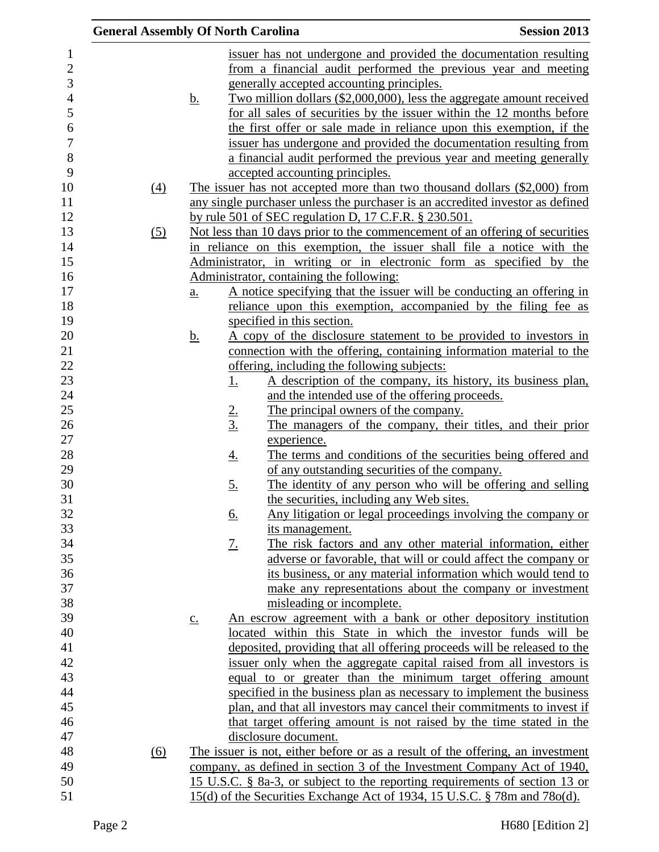| <b>General Assembly Of North Carolina</b> |                            |               |                                                                                | <b>Session 2013</b> |
|-------------------------------------------|----------------------------|---------------|--------------------------------------------------------------------------------|---------------------|
|                                           |                            |               | issuer has not undergone and provided the documentation resulting              |                     |
|                                           |                            |               | from a financial audit performed the previous year and meeting                 |                     |
|                                           |                            |               | generally accepted accounting principles.                                      |                     |
|                                           | <u>b.</u>                  |               | Two million dollars (\$2,000,000), less the aggregate amount received          |                     |
|                                           |                            |               | for all sales of securities by the issuer within the 12 months before          |                     |
|                                           |                            |               | the first offer or sale made in reliance upon this exemption, if the           |                     |
|                                           |                            |               | issuer has undergone and provided the documentation resulting from             |                     |
|                                           |                            |               | a financial <u>audit performed the previous year and meeting generally</u>     |                     |
|                                           |                            |               | accepted accounting principles.                                                |                     |
| (4)                                       |                            |               | The issuer has not accepted more than two thousand dollars (\$2,000) from      |                     |
|                                           |                            |               | any single purchaser unless the purchaser is an accredited investor as defined |                     |
|                                           |                            |               | by rule 501 of SEC regulation D, 17 C.F.R. § 230.501.                          |                     |
| (5)                                       |                            |               | Not less than 10 days prior to the commencement of an offering of securities   |                     |
|                                           |                            |               | in reliance on this exemption, the issuer shall file a notice with the         |                     |
|                                           |                            |               | Administrator, in writing or in electronic form as specified by the            |                     |
|                                           |                            |               | Administrator, containing the following:                                       |                     |
|                                           | $\underline{\mathbf{a}}$ . |               | A notice specifying that the issuer will be conducting an offering in          |                     |
|                                           |                            |               | reliance upon this exemption, accompanied by the filing fee as                 |                     |
|                                           |                            |               | specified in this section.                                                     |                     |
|                                           | <u>b.</u>                  |               | A copy of the disclosure statement to be provided to investors in              |                     |
|                                           |                            |               | connection with the offering, containing information material to the           |                     |
|                                           |                            |               | offering, including the following subjects:                                    |                     |
|                                           |                            | <u>1.</u>     | A description of the company, its history, its business plan,                  |                     |
|                                           |                            |               | and the intended use of the offering proceeds.                                 |                     |
|                                           |                            |               | The principal owners of the company.                                           |                     |
|                                           |                            | $\frac{2}{3}$ | The managers of the company, their titles, and their prior                     |                     |
|                                           |                            |               | experience.                                                                    |                     |
|                                           |                            | <u>4.</u>     | The terms and conditions of the securities being offered and                   |                     |
|                                           |                            |               | of any outstanding securities of the company.                                  |                     |
|                                           |                            | <u>5.</u>     | The identity of any person who will be offering and selling                    |                     |
|                                           |                            |               | the securities, including any Web sites.                                       |                     |
|                                           |                            | <u>6.</u>     | Any litigation or legal proceedings involving the company or                   |                     |
|                                           |                            |               | its management.                                                                |                     |
|                                           |                            | <u>7.</u>     | The risk factors and any other material information, either                    |                     |
|                                           |                            |               | adverse or favorable, that will or could affect the company or                 |                     |
|                                           |                            |               | its business, or any material information which would tend to                  |                     |
|                                           |                            |               | make any representations about the company or investment                       |                     |
|                                           |                            |               | misleading or incomplete.                                                      |                     |
|                                           | $\underline{c}$ .          |               | An escrow agreement with a bank or other depository institution                |                     |
|                                           |                            |               | located within this State in which the investor funds will be                  |                     |
|                                           |                            |               | deposited, providing that all offering proceeds will be released to the        |                     |
|                                           |                            |               | issuer only when the aggregate capital raised from all investors is            |                     |
|                                           |                            |               | equal to or greater than the minimum target offering amount                    |                     |
|                                           |                            |               | specified in the business plan as necessary to implement the business          |                     |
|                                           |                            |               | plan, and that all investors may cancel their commitments to invest if         |                     |
|                                           |                            |               | that target offering amount is not raised by the time stated in the            |                     |
|                                           |                            |               | disclosure document.                                                           |                     |
| $\overline{(6)}$                          |                            |               | The issuer is not, either before or as a result of the offering, an investment |                     |
|                                           |                            |               | company, as defined in section 3 of the Investment Company Act of 1940,        |                     |
|                                           |                            |               | 15 U.S.C. § 8a-3, or subject to the reporting requirements of section 13 or    |                     |
|                                           |                            |               | 15(d) of the Securities Exchange Act of 1934, 15 U.S.C. § 78m and 78o(d).      |                     |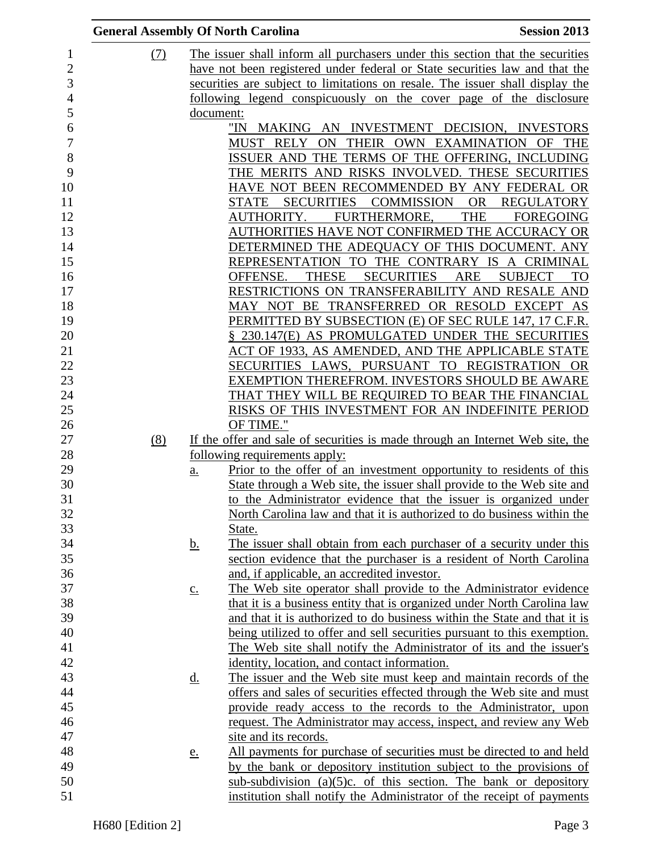| <b>General Assembly Of North Carolina</b> |                   |                                                                                                                                             | <b>Session 2013</b>                       |
|-------------------------------------------|-------------------|---------------------------------------------------------------------------------------------------------------------------------------------|-------------------------------------------|
| (7)                                       |                   | The issuer shall inform all purchasers under this section that the securities                                                               |                                           |
|                                           |                   | have not been registered under federal or State securities law and that the                                                                 |                                           |
|                                           |                   | securities are subject to limitations on resale. The issuer shall display the                                                               |                                           |
|                                           |                   | following legend conspicuously on the cover page of the disclosure                                                                          |                                           |
|                                           | document:         |                                                                                                                                             |                                           |
|                                           |                   | "IN MAKING AN INVESTMENT DECISION, INVESTORS                                                                                                |                                           |
|                                           |                   | MUST RELY ON THEIR OWN EXAMINATION OF THE                                                                                                   |                                           |
|                                           |                   | ISSUER AND THE TERMS OF THE OFFERING, INCLUDING                                                                                             |                                           |
|                                           |                   | THE MERITS AND RISKS INVOLVED. THESE SECURITIES                                                                                             |                                           |
|                                           |                   | HAVE NOT BEEN RECOMMENDED BY ANY FEDERAL OR                                                                                                 |                                           |
|                                           |                   | SECURITIES COMMISSION OR REGULATORY<br>STATE                                                                                                |                                           |
|                                           |                   | FURTHERMORE,<br>AUTHORITY.                                                                                                                  | <b>THE</b><br><b>FOREGOING</b>            |
|                                           |                   | AUTHORITIES HAVE NOT CONFIRMED THE ACCURACY OR                                                                                              |                                           |
|                                           |                   | DETERMINED THE ADEQUACY OF THIS DOCUMENT. ANY                                                                                               |                                           |
|                                           |                   | REPRESENTATION TO THE CONTRARY IS A CRIMINAL                                                                                                |                                           |
|                                           |                   | <b>THESE</b><br><b>SECURITIES</b><br>OFFENSE.                                                                                               | <b>ARE</b><br><b>SUBJECT</b><br><b>TO</b> |
|                                           |                   | RESTRICTIONS ON TRANSFERABILITY AND RESALE AND                                                                                              |                                           |
|                                           |                   | MAY NOT BE TRANSFERRED OR RESOLD EXCEPT AS                                                                                                  |                                           |
|                                           |                   | PERMITTED BY SUBSECTION (E) OF SEC RULE 147, 17 C.F.R.                                                                                      |                                           |
|                                           |                   | § 230.147(E) AS PROMULGATED UNDER THE SECURITIES                                                                                            |                                           |
|                                           |                   | ACT OF 1933, AS AMENDED, AND THE APPLICABLE STATE                                                                                           |                                           |
|                                           |                   | SECURITIES LAWS, PURSUANT TO REGISTRATION OR                                                                                                |                                           |
|                                           |                   | EXEMPTION THEREFROM. INVESTORS SHOULD BE AWARE                                                                                              |                                           |
|                                           |                   | THAT THEY WILL BE REQUIRED TO BEAR THE FINANCIAL                                                                                            |                                           |
|                                           |                   | RISKS OF THIS INVESTMENT FOR AN INDEFINITE PERIOD                                                                                           |                                           |
|                                           |                   | OF TIME."                                                                                                                                   |                                           |
| (8)                                       |                   | If the offer and sale of securities is made through an Internet Web site, the                                                               |                                           |
|                                           |                   | <u>following requirements apply:</u>                                                                                                        |                                           |
|                                           | <u>a.</u>         | Prior to the offer of an investment opportunity to residents of this                                                                        |                                           |
|                                           |                   | State through a Web site, the issuer shall provide to the Web site and                                                                      |                                           |
|                                           |                   | to the Administrator evidence that the issuer is organized under                                                                            |                                           |
|                                           |                   | North Carolina law and that it is authorized to do business within the                                                                      |                                           |
|                                           |                   | State.                                                                                                                                      |                                           |
|                                           | <u>b.</u>         | The issuer shall obtain from each purchaser of a security under this<br>section evidence that the purchaser is a resident of North Carolina |                                           |
|                                           |                   | and, if applicable, an accredited investor.                                                                                                 |                                           |
|                                           |                   | The Web site operator shall provide to the Administrator evidence                                                                           |                                           |
|                                           | $\underline{c}$ . | that it is a business entity that is organized under North Carolina law                                                                     |                                           |
|                                           |                   | and that it is authorized to do business within the State and that it is                                                                    |                                           |
|                                           |                   | being utilized to offer and sell securities pursuant to this exemption.                                                                     |                                           |
|                                           |                   | The Web site shall notify the Administrator of its and the issuer's                                                                         |                                           |
|                                           |                   | identity, location, and contact information.                                                                                                |                                           |
|                                           | <u>d.</u>         | The issuer and the Web site must keep and maintain records of the                                                                           |                                           |
|                                           |                   | offers and sales of securities effected through the Web site and must                                                                       |                                           |
|                                           |                   | provide ready access to the records to the Administrator, upon                                                                              |                                           |
|                                           |                   | request. The Administrator may access, inspect, and review any Web                                                                          |                                           |
|                                           |                   | site and its records.                                                                                                                       |                                           |
|                                           | <u>e.</u>         | All payments for purchase of securities must be directed to and held                                                                        |                                           |
|                                           |                   | by the bank or depository institution subject to the provisions of                                                                          |                                           |
|                                           |                   | sub-subdivision $(a)(5)c$ . of this section. The bank or depository                                                                         |                                           |
|                                           |                   | institution shall notify the Administrator of the receipt of payments                                                                       |                                           |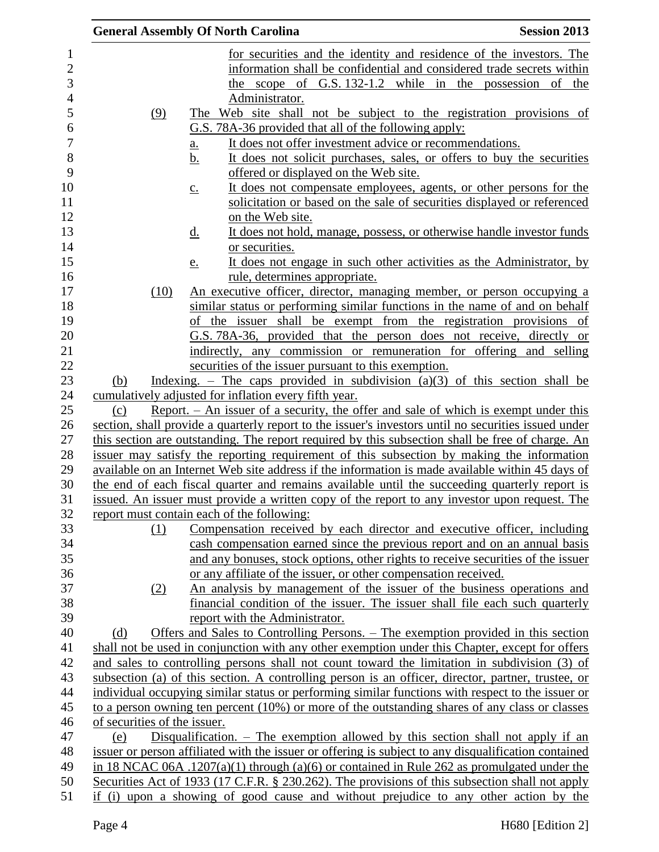|                              | <b>General Assembly Of North Carolina</b>                                                            | <b>Session 2013</b> |
|------------------------------|------------------------------------------------------------------------------------------------------|---------------------|
|                              | for securities and the identity and residence of the investors. The                                  |                     |
|                              | information shall be confidential and considered trade secrets within                                |                     |
|                              | scope of G.S. 132-1.2 while in the possession of the<br>the                                          |                     |
|                              | Administrator.                                                                                       |                     |
| (9)                          | The Web site shall not be subject to the registration provisions of                                  |                     |
|                              | G.S. 78A-36 provided that all of the following apply:                                                |                     |
|                              | It does not offer investment advice or recommendations.<br>a.                                        |                     |
|                              | It does not solicit purchases, sales, or offers to buy the securities<br><u>b.</u>                   |                     |
|                              | offered or displayed on the Web site.                                                                |                     |
|                              | It does not compensate employees, agents, or other persons for the<br>$\underline{c}$ .              |                     |
|                              | solicitation or based on the sale of securities displayed or referenced                              |                     |
|                              | on the Web site.                                                                                     |                     |
|                              | It does not hold, manage, possess, or otherwise handle investor funds<br><u>d.</u>                   |                     |
|                              | or securities.                                                                                       |                     |
|                              | It does not engage in such other activities as the Administrator, by<br><u>e.</u>                    |                     |
|                              | rule, determines appropriate.                                                                        |                     |
| (10)                         | An executive officer, director, managing member, or person occupying a                               |                     |
|                              | similar status or performing similar functions in the name of and on behalf                          |                     |
|                              | of the issuer shall be exempt from the registration provisions of                                    |                     |
|                              | G.S. 78A-36, provided that the person does not receive, directly or                                  |                     |
|                              | indirectly, any commission or remuneration for offering and selling                                  |                     |
|                              | securities of the issuer pursuant to this exemption.                                                 |                     |
| (b)                          | Indexing. – The caps provided in subdivision $(a)(3)$ of this section shall be                       |                     |
|                              | cumulatively adjusted for inflation every fifth year.                                                |                     |
| (c)                          | Report. $-$ An issuer of a security, the offer and sale of which is exempt under this                |                     |
|                              | section, shall provide a quarterly report to the issuer's investors until no securities issued under |                     |
|                              | this section are outstanding. The report required by this subsection shall be free of charge. An     |                     |
|                              | issuer may satisfy the reporting requirement of this subsection by making the information            |                     |
|                              | available on an Internet Web site address if the information is made available within 45 days of     |                     |
|                              | the end of each fiscal quarter and remains available until the succeeding quarterly report is        |                     |
|                              | issued. An issuer must provide a written copy of the report to any investor upon request. The        |                     |
|                              | report must contain each of the following:                                                           |                     |
| <u>(1)</u>                   | Compensation received by each director and executive officer, including                              |                     |
|                              | cash compensation earned since the previous report and on an annual basis                            |                     |
|                              | and any bonuses, stock options, other rights to receive securities of the issuer                     |                     |
|                              | or any affiliate of the issuer, or other compensation received.                                      |                     |
| (2)                          | An analysis by management of the issuer of the business operations and                               |                     |
|                              | financial condition of the issuer. The issuer shall file each such quarterly                         |                     |
|                              | report with the Administrator.                                                                       |                     |
| (d)                          | Offers and Sales to Controlling Persons. – The exemption provided in this section                    |                     |
|                              | shall not be used in conjunction with any other exemption under this Chapter, except for offers      |                     |
|                              | and sales to controlling persons shall not count toward the limitation in subdivision (3) of         |                     |
|                              | subsection (a) of this section. A controlling person is an officer, director, partner, trustee, or   |                     |
|                              | individual occupying similar status or performing similar functions with respect to the issuer or    |                     |
|                              | to a person owning ten percent $(10\%)$ or more of the outstanding shares of any class or classes    |                     |
| of securities of the issuer. |                                                                                                      |                     |
| (e)                          | Disqualification. $-$ The exemption allowed by this section shall not apply if an                    |                     |
|                              | issuer or person affiliated with the issuer or offering is subject to any disqualification contained |                     |
|                              | in 18 NCAC 06A .1207(a)(1) through (a)(6) or contained in Rule 262 as promulgated under the          |                     |
|                              | Securities Act of 1933 (17 C.F.R. § 230.262). The provisions of this subsection shall not apply      |                     |
|                              | if (i) upon a showing of good cause and without prejudice to any other action by the                 |                     |